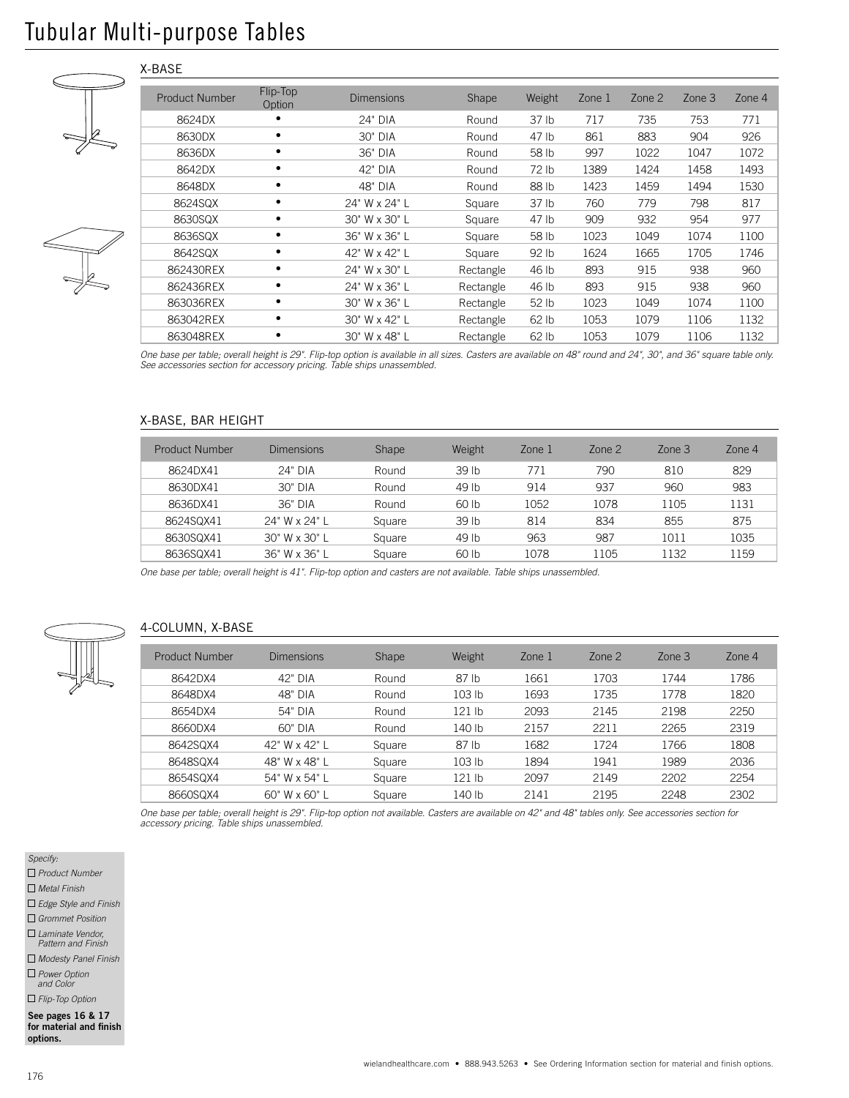# Tubular Multi-purpose Tables

X-BASE

|  | <b>Product Number</b> | Flip-Top<br>Option | <b>Dimensions</b> | Shape     | Weight           | Zone 1 | Zone $2$ | $Z$ one $3$ | Zone 4 |
|--|-----------------------|--------------------|-------------------|-----------|------------------|--------|----------|-------------|--------|
|  | 8624DX                |                    | 24" DIA           | Round     | 37 <sub>lb</sub> | 717    | 735      | 753         | 771    |
|  | 8630DX                |                    | 30" DIA           | Round     | 47 lb            | 861    | 883      | 904         | 926    |
|  | 8636DX                |                    | 36" DIA           | Round     | 58 lb            | 997    | 1022     | 1047        | 1072   |
|  | 8642DX                |                    | 42" DIA           | Round     | 72 lb            | 1389   | 1424     | 1458        | 1493   |
|  | 8648DX                | ٠                  | 48" DIA           | Round     | 88 lb            | 1423   | 1459     | 1494        | 1530   |
|  | 8624SQX               |                    | 24" W x 24" L     | Square    | 37 <sub>lb</sub> | 760    | 779      | 798         | 817    |
|  | 8630SQX               |                    | 30" W x 30" L     | Square    | 47 lb            | 909    | 932      | 954         | 977    |
|  | 8636SQX               |                    | 36" W x 36" L     | Square    | 58 lb            | 1023   | 1049     | 1074        | 1100   |
|  | 8642SQX               |                    | 42" W x 42" L     | Square    | 92 lb            | 1624   | 1665     | 1705        | 1746   |
|  | 862430REX             |                    | 24" W x 30" L     | Rectangle | 46 lb            | 893    | 915      | 938         | 960    |
|  | 862436REX             | ٠                  | 24" W x 36" L     | Rectangle | 46 lb            | 893    | 915      | 938         | 960    |
|  | 863036REX             |                    | 30" W x 36" L     | Rectangle | 52 <sub>1b</sub> | 1023   | 1049     | 1074        | 1100   |
|  | 863042REX             |                    | 30" W x 42" L     | Rectangle | 62 lb            | 1053   | 1079     | 1106        | 1132   |
|  | 863048REX             | ٠                  | 30" W x 48" L     | Rectangle | 62 lb            | 1053   | 1079     | 1106        | 1132   |

*One base per table; overall height is 29". Flip-top option is available in all sizes. Casters are available on 48" round and 24", 30", and 36" square table only. See accessories section for accessory pricing. Table ships unassembled.*

### X-BASE, BAR HEIGHT

| Product Number | <b>Dimensions</b> | Shape  | Weight           | Zone 1 | Zone $2$ | $Z$ one $3$ | Zone $4$ |
|----------------|-------------------|--------|------------------|--------|----------|-------------|----------|
| 8624DX41       | 24" DIA           | Round  | 39 <sub>th</sub> | 771    | 790      | 810         | 829      |
| 8630DX41       | $30"$ DIA         | Round  | 49 lb            | 914    | 937      | 960         | 983      |
| 8636DX41       | 36" DIA           | Round  | 60 <sub>th</sub> | 1052   | 1078     | 1105        | 1131     |
| 8624SQX41      | 24" W x 24" L     | Square | 39 <sub>th</sub> | 814    | 834      | 855         | 875      |
| 8630SQX41      | 30" W x 30" L     | Square | 49 lb            | 963    | 987      | 1011        | 1035     |
| 8636SQX41      | 36" W x 36" L     | Square | 60 <sub>th</sub> | 1078   | 1105     | 1132        | 1159     |

*One base per table; overall height is 41". Flip-top option and casters are not available. Table ships unassembled.*



# 4-COLUMN, X-BASE

| Product Number | <b>Dimensions</b> | Shape  | Weight   | Zone 1 | Zone $2$ | $Z$ one $3$ | Zone $4$ |
|----------------|-------------------|--------|----------|--------|----------|-------------|----------|
| 8642DX4        | 42" DIA           | Round  | 87 lb    | 1661   | 1703     | 1744        | 1786     |
| 8648DX4        | 48" DIA           | Round  | 103 lb   | 1693   | 1735     | 1778        | 1820     |
| 8654DX4        | 54" DIA           | Round  | $121$ lb | 2093   | 2145     | 2198        | 2250     |
| 8660DX4        | 60" DIA           | Round  | 140 lb   | 2157   | 2211     | 2265        | 2319     |
| 8642SQX4       | 42" W x 42" L     | Square | 87 lb    | 1682   | 1724     | 1766        | 1808     |
| 8648SQX4       | 48" W x 48" L     | Square | 103 lb   | 1894   | 1941     | 1989        | 2036     |
| 8654SQX4       | 54" W x 54" L     | Square | 121 lb   | 2097   | 2149     | 2202        | 2254     |
| 8660SQX4       | 60" W x 60" L     | Square | 140 lb   | 2141   | 2195     | 2248        | 2302     |

*One base per table; overall height is 29". Flip-top option not available. Casters are available on 42" and 48" tables only. See accessories section for accessory pricing. Table ships unassembled.*

*Specify:*

 *Product Number*

 *Metal Finish*

 *Edge Style and Finish*

 *Grommet Position*

 *Laminate Vendor,* 

*Pattern and Finish*

 *Modesty Panel Finish Power Option*

*and Color Flip-Top Option*

See pages 16 & 17 for material and finish options.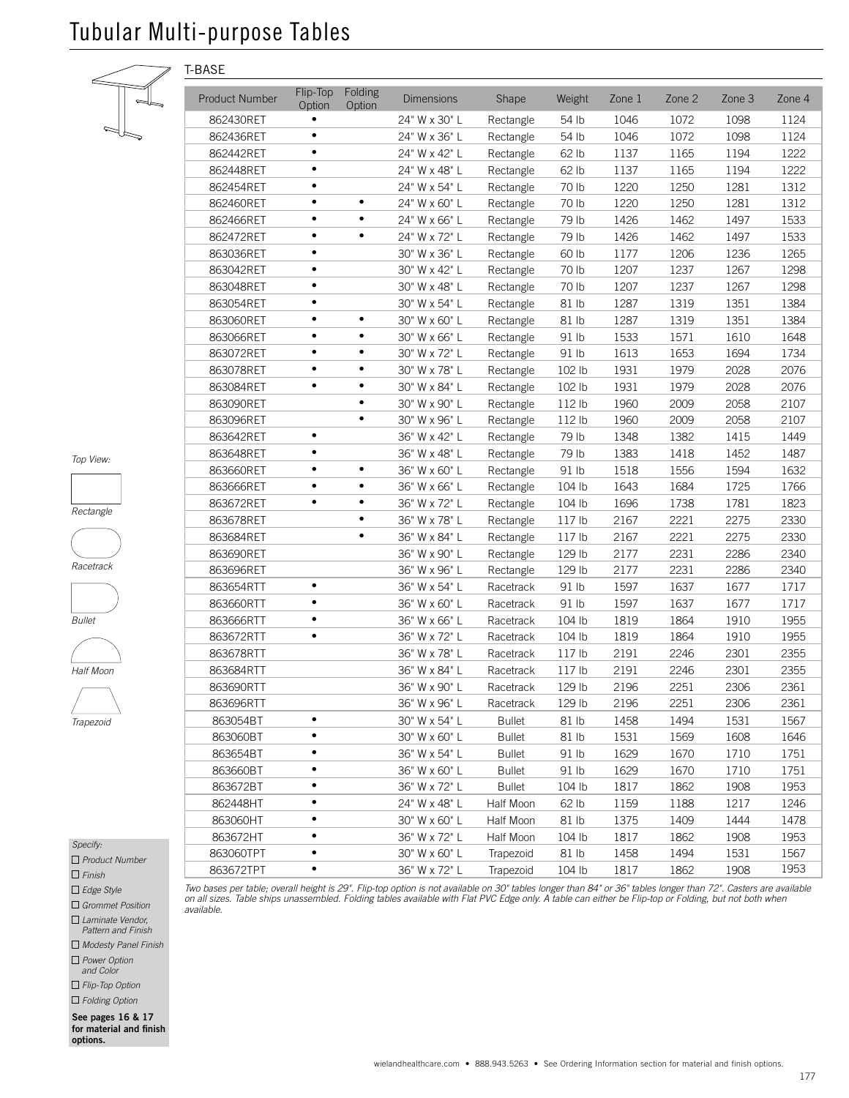# Tubular Multi-purpose Tables

T-BASE



| ٠ |
|---|
|   |

*Rectangle*





*Half Moon*



| Specify:              |  |
|-----------------------|--|
| $\Box$ Product Number |  |

 *Finish*

 *Edge Style*

 *Grommet Position*

 *Laminate Vendor, Pattern and Finish*

 *Modesty Panel Finish*

 *Power Option and Color*

 *Flip-Top Option*

 *Folding Option*

See pages 16 & 17 for material and finish options.

| <b>Product Number</b> | Flip-Top<br>Option | Folding<br>Option | <b>Dimensions</b> | Shape         | Weight            | Zone 1 | Zone 2 | Zone 3 | Zone 4 |
|-----------------------|--------------------|-------------------|-------------------|---------------|-------------------|--------|--------|--------|--------|
| 862430RET             |                    |                   | 24" W x 30" L     | Rectangle     | 54 lb             | 1046   | 1072   | 1098   | 1124   |
| 862436RET             |                    |                   | 24" W x 36" L     | Rectangle     | 54 lb             | 1046   | 1072   | 1098   | 1124   |
| 862442RET             |                    |                   | 24" W x 42" L     | Rectangle     | 62 lb             | 1137   | 1165   | 1194   | 1222   |
| 862448RET             |                    |                   | 24" W x 48" L     | Rectangle     | 62 lb             | 1137   | 1165   | 1194   | 1222   |
| 862454RET             |                    |                   | 24" W x 54" L     | Rectangle     | 70 lb             | 1220   | 1250   | 1281   | 1312   |
| 862460RET             |                    |                   | 24" W x 60" L     | Rectangle     | 70 lb             | 1220   | 1250   | 1281   | 1312   |
| 862466RET             |                    |                   | 24" W x 66" L     | Rectangle     | 79 lb             | 1426   | 1462   | 1497   | 1533   |
| 862472RET             |                    |                   | 24" W x 72" L     | Rectangle     | 79 lb             | 1426   | 1462   | 1497   | 1533   |
| 863036RET             |                    |                   | 30" W x 36" L     | Rectangle     | 60 lb             | 1177   | 1206   | 1236   | 1265   |
| 863042RET             |                    |                   | 30" W x 42" L     | Rectangle     | 70 lb             | 1207   | 1237   | 1267   | 1298   |
| 863048RET             |                    |                   | 30" W x 48" L     | Rectangle     | 70 lb             | 1207   | 1237   | 1267   | 1298   |
| 863054RET             |                    |                   | 30" W x 54" L     | Rectangle     | 81 lb             | 1287   | 1319   | 1351   | 1384   |
| 863060RET             |                    |                   | 30" W x 60" L     | Rectangle     | 81 lb             | 1287   | 1319   | 1351   | 1384   |
| 863066RET             |                    |                   | 30" W x 66" L     | Rectangle     | 91 lb             | 1533   | 1571   | 1610   | 1648   |
| 863072RET             |                    |                   | 30" W x 72" L     | Rectangle     | 91 lb             | 1613   | 1653   | 1694   | 1734   |
| 863078RET             |                    | ٠                 | 30" W x 78" L     | Rectangle     | 102 lb            | 1931   | 1979   | 2028   | 2076   |
| 863084RET             |                    | $\bullet$         | 30" W x 84" L     | Rectangle     | 102 lb            | 1931   | 1979   | 2028   | 2076   |
| 863090RET             |                    | $\bullet$         | 30" W x 90" L     | Rectangle     | 112 lb            | 1960   | 2009   | 2058   | 2107   |
| 863096RET             |                    | $\bullet$         | 30" W x 96" L     | Rectangle     | 112 lb            | 1960   | 2009   | 2058   | 2107   |
| 863642RET             |                    |                   | 36" W x 42" L     | Rectangle     | 79 lb             | 1348   | 1382   | 1415   | 1449   |
| 863648RET             |                    |                   | 36" W x 48" L     | Rectangle     | 79 lb             | 1383   | 1418   | 1452   | 1487   |
| 863660RET             |                    |                   | 36" W x 60" L     | Rectangle     | 91 lb             | 1518   | 1556   | 1594   | 1632   |
| 863666RET             |                    |                   | 36" W x 66" L     | Rectangle     | 104 lb            | 1643   | 1684   | 1725   | 1766   |
| 863672RET             |                    | ٠                 | 36" W x 72" L     | Rectangle     | 104 lb            | 1696   | 1738   | 1781   | 1823   |
| 863678RET             |                    | ٠                 | 36" W x 78" L     | Rectangle     | 117 <sub>lb</sub> | 2167   | 2221   | 2275   | 2330   |
| 863684RET             |                    | ٠                 | 36" W x 84" L     | Rectangle     | 117 <sub>lb</sub> | 2167   | 2221   | 2275   | 2330   |
| 863690RET             |                    |                   | 36" W x 90" L     | Rectangle     | 129 lb            | 2177   | 2231   | 2286   | 2340   |
| 863696RET             |                    |                   | 36" W x 96" L     | Rectangle     | 129 lb            | 2177   | 2231   | 2286   | 2340   |
| 863654RTT             |                    |                   | 36" W x 54" L     | Racetrack     | 91 lb             | 1597   | 1637   | 1677   | 1717   |
| 863660RTT             |                    |                   | 36" W x 60" L     | Racetrack     | 91 lb             | 1597   | 1637   | 1677   | 1717   |
| 863666RTT             |                    |                   | 36" W x 66" L     | Racetrack     | 104 lb            | 1819   | 1864   | 1910   | 1955   |
| 863672RTT             | $\bullet$          |                   | 36" W x 72" L     | Racetrack     | 104 lb            | 1819   | 1864   | 1910   | 1955   |
| 863678RTT             |                    |                   | 36" W x 78" L     | Racetrack     | 117 <sub>lb</sub> | 2191   | 2246   | 2301   | 2355   |
| 863684RTT             |                    |                   | 36" W x 84" L     | Racetrack     | 117 <sub>lb</sub> | 2191   | 2246   | 2301   | 2355   |
| 863690RTT             |                    |                   | 36" W x 90" L     | Racetrack     | 129 lb            | 2196   | 2251   | 2306   | 2361   |
| 863696RTT             |                    |                   | 36" W x 96" L     | Racetrack     | 129 lb            | 2196   | 2251   | 2306   | 2361   |
| 863054BT              | $\bullet$          |                   | 30" W x 54" L     | <b>Bullet</b> | 81 lb             | 1458   | 1494   | 1531   | 1567   |
| 863060BT              |                    |                   | 30" W x 60" L     | <b>Bullet</b> | 81 lb             | 1531   | 1569   | 1608   | 1646   |
| 863654BT              | $\bullet$          |                   | 36" W x 54" L     | <b>Bullet</b> | 91 lb             | 1629   | 1670   | 1710   | 1751   |
| 863660BT              | $\bullet$          |                   | 36" W x 60" L     | <b>Bullet</b> | 91 lb             | 1629   | 1670   | 1710   | 1751   |
| 863672BT              | $\bullet$          |                   | 36" W x 72" L     | <b>Bullet</b> | 104 lb            | 1817   | 1862   | 1908   | 1953   |
| 862448HT              | $\bullet$          |                   | 24" W x 48" L     | Half Moon     | 62 lb             | 1159   | 1188   | 1217   | 1246   |
| 863060HT              | $\bullet$          |                   | 30" W x 60" L     | Half Moon     | 81 lb             | 1375   | 1409   | 1444   | 1478   |
| 863672HT              | $\bullet$          |                   | 36" W x 72" L     | Half Moon     | 104 lb            | 1817   | 1862   | 1908   | 1953   |
| 863060TPT             | ٠                  |                   | 30" W x 60" L     | Trapezoid     | 81 lb             | 1458   | 1494   | 1531   | 1567   |
| 863672TPT             | $\bullet$          |                   | 36" W x 72" L     | Trapezoid     | 104 lb            | 1817   | 1862   | 1908   | 1953   |

Two bases per table; overall height is 29". Flip-top option is not available on 30" tables longer than 84" or 36" tables longer than 72". Casters are available<br>on all sizes. Table ships unassembled. Folding tables availabl *available.*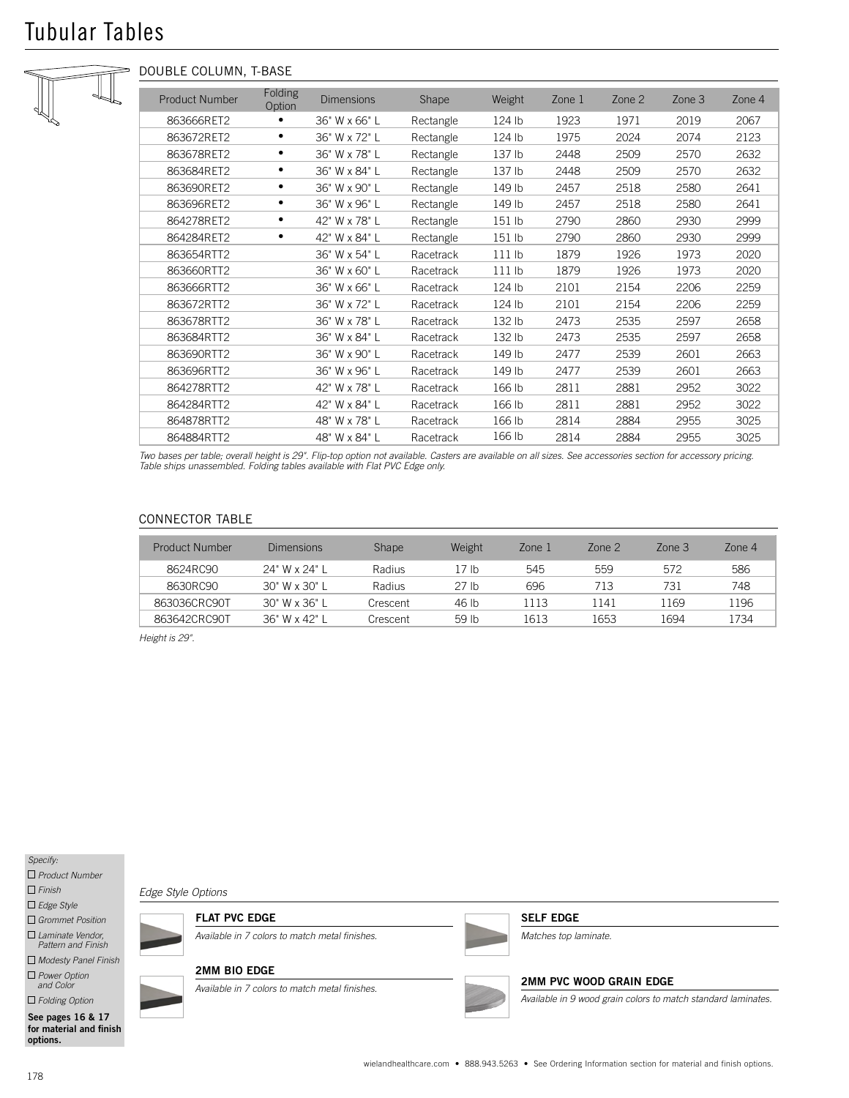# Tubular Tables



# DOUBLE COLUMN, T-BASE

| <b>Product Number</b> | <b>Folding</b><br>Option | <b>Dimensions</b> | Shape     | Weight            | Zone 1 | Zone 2 | Zone 3 | Zone 4 |
|-----------------------|--------------------------|-------------------|-----------|-------------------|--------|--------|--------|--------|
| 863666RET2            |                          | 36" W x 66" L     | Rectangle | 124 lb            | 1923   | 1971   | 2019   | 2067   |
| 863672RET2            | ٠                        | 36" W x 72" L     | Rectangle | 124 lb            | 1975   | 2024   | 2074   | 2123   |
| 863678RET2            | ٠                        | 36" W x 78" L     | Rectangle | 137 lb            | 2448   | 2509   | 2570   | 2632   |
| 863684RET2            | ٠                        | 36" W x 84" L     | Rectangle | 137 lb            | 2448   | 2509   | 2570   | 2632   |
| 863690RET2            | ٠                        | 36" W x 90" L     | Rectangle | 149 lb            | 2457   | 2518   | 2580   | 2641   |
| 863696RET2            | ٠                        | 36" W x 96" L     | Rectangle | 149 lb            | 2457   | 2518   | 2580   | 2641   |
| 864278RET2            | ٠                        | 42" W x 78" L     | Rectangle | 151 lb            | 2790   | 2860   | 2930   | 2999   |
| 864284RET2            | ٠                        | 42" W x 84" L     | Rectangle | 151 lb            | 2790   | 2860   | 2930   | 2999   |
| 863654RTT2            |                          | 36" W x 54" L     | Racetrack | 111 <sub>lb</sub> | 1879   | 1926   | 1973   | 2020   |
| 863660RTT2            |                          | 36" W x 60" L     | Racetrack | $111$ lb          | 1879   | 1926   | 1973   | 2020   |
| 863666RTT2            |                          | 36" W x 66" L     | Racetrack | 124 lb            | 2101   | 2154   | 2206   | 2259   |
| 863672RTT2            |                          | 36" W x 72" L     | Racetrack | 124 lb            | 2101   | 2154   | 2206   | 2259   |
| 863678RTT2            |                          | 36" W x 78" L     | Racetrack | 132 lb            | 2473   | 2535   | 2597   | 2658   |
| 863684RTT2            |                          | 36" W x 84" L     | Racetrack | 132 lb            | 2473   | 2535   | 2597   | 2658   |
| 863690RTT2            |                          | 36" W x 90" L     | Racetrack | 149 lb            | 2477   | 2539   | 2601   | 2663   |
| 863696RTT2            |                          | 36" W x 96" L     | Racetrack | 149 lb            | 2477   | 2539   | 2601   | 2663   |
| 864278RTT2            |                          | 42" W x 78" L     | Racetrack | 166 lb            | 2811   | 2881   | 2952   | 3022   |
| 864284RTT2            |                          | 42" W x 84" L     | Racetrack | 166 lb            | 2811   | 2881   | 2952   | 3022   |
| 864878RTT2            |                          | 48" W x 78" L     | Racetrack | 166 lb            | 2814   | 2884   | 2955   | 3025   |
| 864884RTT2            |                          | 48" W x 84" L     | Racetrack | 166 lb            | 2814   | 2884   | 2955   | 3025   |

*Two bases per table; overall height is 29". Flip-top option not available. Casters are available on all sizes. See accessories section for accessory pricing. Table ships unassembled. Folding tables available with Flat PVC Edge only.*

# CONNECTOR TABLE

| Product Number | <b>Dimensions</b> | <b>Shape</b>  | Weight           | Zone 1 | Zone $2$ | Zone $3$ | Zone 4 |
|----------------|-------------------|---------------|------------------|--------|----------|----------|--------|
| 8624RC90       | 24" W x 24" L     | Radius        | 17 Ib            | 545    | 559      | 572      | 586    |
| 8630RC90       | $30"$ W x $30"$ L | <b>Radius</b> | 27 lb            | 696    | 713      | 731      | 748    |
| 863036CRC90T   | $30"$ W x $36"$ L | Crescent      | 46 lb            | 1113   | 1141     | 1169     | 1196   |
| 863642CRC90T   | $36"$ W x 42" I   | Crescent      | 59 <sub>th</sub> | 1613   | 1653     | 1694     | 1734   |

*Height is 29".*

*Specify:*

 *Product Number*

 *Finish*

 *Edge Style*

 *Grommet Position*

 *Laminate Vendor, Pattern and Finish*

 *Modesty Panel Finish Power Option and Color*

 *Folding Option*

See pages 16 & 17 for material and finish options.

*Edge Style Options*

FLAT PVC EDGE

*Available in 7 colors to match metal finishes.*

#### 2MM BIO EDGE

*Available in 7 colors to match metal finishes.*



#### SELF EDGE

*Matches top laminate.*

# 2MM PVC WOOD GRAIN EDGE

*Available in 9 wood grain colors to match standard laminates.*